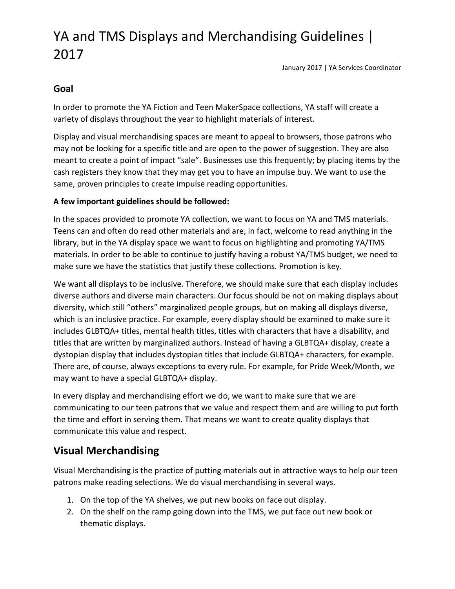January 2017 | YA Services Coordinator

### **Goal**

In order to promote the YA Fiction and Teen MakerSpace collections, YA staff will create a variety of displays throughout the year to highlight materials of interest.

Display and visual merchandising spaces are meant to appeal to browsers, those patrons who may not be looking for a specific title and are open to the power of suggestion. They are also meant to create a point of impact "sale". Businesses use this frequently; by placing items by the cash registers they know that they may get you to have an impulse buy. We want to use the same, proven principles to create impulse reading opportunities.

#### **A few important guidelines should be followed:**

In the spaces provided to promote YA collection, we want to focus on YA and TMS materials. Teens can and often do read other materials and are, in fact, welcome to read anything in the library, but in the YA display space we want to focus on highlighting and promoting YA/TMS materials. In order to be able to continue to justify having a robust YA/TMS budget, we need to make sure we have the statistics that justify these collections. Promotion is key.

We want all displays to be inclusive. Therefore, we should make sure that each display includes diverse authors and diverse main characters. Our focus should be not on making displays about diversity, which still "others" marginalized people groups, but on making all displays diverse, which is an inclusive practice. For example, every display should be examined to make sure it includes GLBTQA+ titles, mental health titles, titles with characters that have a disability, and titles that are written by marginalized authors. Instead of having a GLBTQA+ display, create a dystopian display that includes dystopian titles that include GLBTQA+ characters, for example. There are, of course, always exceptions to every rule. For example, for Pride Week/Month, we may want to have a special GLBTQA+ display.

In every display and merchandising effort we do, we want to make sure that we are communicating to our teen patrons that we value and respect them and are willing to put forth the time and effort in serving them. That means we want to create quality displays that communicate this value and respect.

### **Visual Merchandising**

Visual Merchandising is the practice of putting materials out in attractive ways to help our teen patrons make reading selections. We do visual merchandising in several ways.

- 1. On the top of the YA shelves, we put new books on face out display.
- 2. On the shelf on the ramp going down into the TMS, we put face out new book or thematic displays.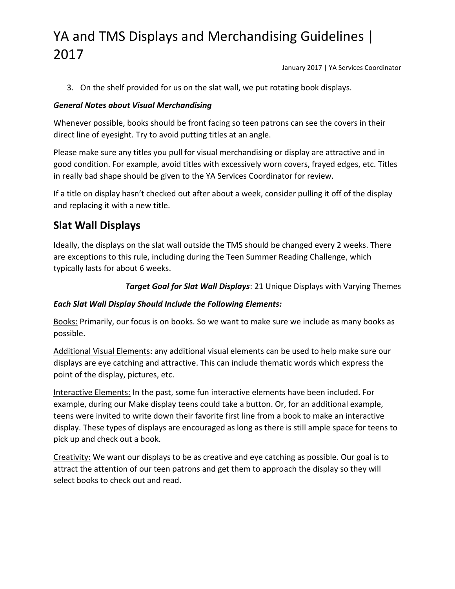January 2017 | YA Services Coordinator

3. On the shelf provided for us on the slat wall, we put rotating book displays.

### *General Notes about Visual Merchandising*

Whenever possible, books should be front facing so teen patrons can see the covers in their direct line of eyesight. Try to avoid putting titles at an angle.

Please make sure any titles you pull for visual merchandising or display are attractive and in good condition. For example, avoid titles with excessively worn covers, frayed edges, etc. Titles in really bad shape should be given to the YA Services Coordinator for review.

If a title on display hasn't checked out after about a week, consider pulling it off of the display and replacing it with a new title.

## **Slat Wall Displays**

Ideally, the displays on the slat wall outside the TMS should be changed every 2 weeks. There are exceptions to this rule, including during the Teen Summer Reading Challenge, which typically lasts for about 6 weeks.

*Target Goal for Slat Wall Displays*: 21 Unique Displays with Varying Themes

#### *Each Slat Wall Display Should Include the Following Elements:*

Books: Primarily, our focus is on books. So we want to make sure we include as many books as possible.

Additional Visual Elements: any additional visual elements can be used to help make sure our displays are eye catching and attractive. This can include thematic words which express the point of the display, pictures, etc.

Interactive Elements: In the past, some fun interactive elements have been included. For example, during our Make display teens could take a button. Or, for an additional example, teens were invited to write down their favorite first line from a book to make an interactive display. These types of displays are encouraged as long as there is still ample space for teens to pick up and check out a book.

Creativity: We want our displays to be as creative and eye catching as possible. Our goal is to attract the attention of our teen patrons and get them to approach the display so they will select books to check out and read.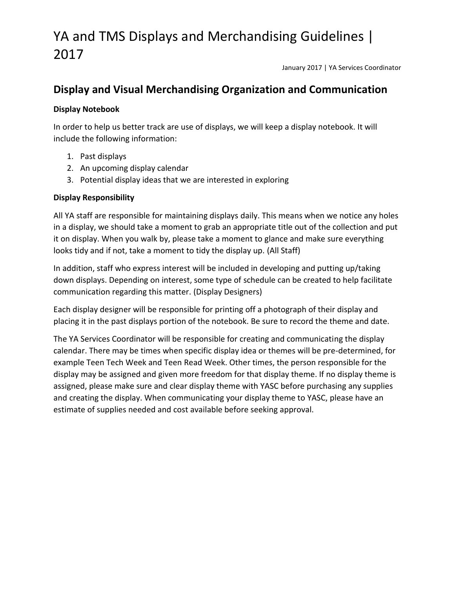January 2017 | YA Services Coordinator

### **Display and Visual Merchandising Organization and Communication**

#### **Display Notebook**

In order to help us better track are use of displays, we will keep a display notebook. It will include the following information:

- 1. Past displays
- 2. An upcoming display calendar
- 3. Potential display ideas that we are interested in exploring

#### **Display Responsibility**

All YA staff are responsible for maintaining displays daily. This means when we notice any holes in a display, we should take a moment to grab an appropriate title out of the collection and put it on display. When you walk by, please take a moment to glance and make sure everything looks tidy and if not, take a moment to tidy the display up. (All Staff)

In addition, staff who express interest will be included in developing and putting up/taking down displays. Depending on interest, some type of schedule can be created to help facilitate communication regarding this matter. (Display Designers)

Each display designer will be responsible for printing off a photograph of their display and placing it in the past displays portion of the notebook. Be sure to record the theme and date.

The YA Services Coordinator will be responsible for creating and communicating the display calendar. There may be times when specific display idea or themes will be pre-determined, for example Teen Tech Week and Teen Read Week. Other times, the person responsible for the display may be assigned and given more freedom for that display theme. If no display theme is assigned, please make sure and clear display theme with YASC before purchasing any supplies and creating the display. When communicating your display theme to YASC, please have an estimate of supplies needed and cost available before seeking approval.